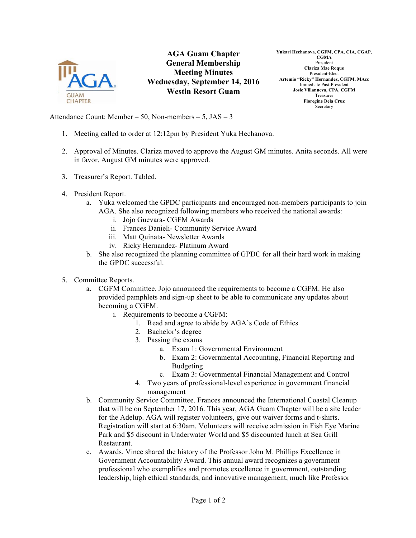

**AGA Guam Chapter General Membership Meeting Minutes Wednesday, September 14, 2016 Westin Resort Guam**

**Yukari Hechanova, CGFM, CPA, CIA, CGAP, CGMA** President **Clariza Mae Roque** President-Elect **Artemio "Ricky" Hernandez, CGFM, MAcc** Immediate Past-President **Josie Villanueva, CPA, CGFM** Treasurer **Floregine Dela Cruz** Secretary

Attendance Count: Member – 50, Non-members – 5, JAS – 3

- 1. Meeting called to order at 12:12pm by President Yuka Hechanova.
- 2. Approval of Minutes. Clariza moved to approve the August GM minutes. Anita seconds. All were in favor. August GM minutes were approved.
- 3. Treasurer's Report. Tabled.
- 4. President Report.
	- a. Yuka welcomed the GPDC participants and encouraged non-members participants to join AGA. She also recognized following members who received the national awards:
		- i. Jojo Guevara- CGFM Awards
		- ii. Frances Danieli- Community Service Award
		- iii. Matt Quinata- Newsletter Awards
		- iv. Ricky Hernandez- Platinum Award
	- b. She also recognized the planning committee of GPDC for all their hard work in making the GPDC successful.
- 5. Committee Reports.
	- a. CGFM Committee. Jojo announced the requirements to become a CGFM. He also provided pamphlets and sign-up sheet to be able to communicate any updates about becoming a CGFM.
		- i. Requirements to become a CGFM:
			- 1. Read and agree to abide by AGA's Code of Ethics
			- 2. Bachelor's degree
			- 3. Passing the exams
				- a. Exam 1: Governmental Environment
				- b. Exam 2: Governmental Accounting, Financial Reporting and Budgeting
				- c. Exam 3: Governmental Financial Management and Control
			- 4. Two years of professional-level experience in government financial management
	- b. Community Service Committee. Frances announced the International Coastal Cleanup that will be on September 17, 2016. This year, AGA Guam Chapter will be a site leader for the Adelup. AGA will register volunteers, give out waiver forms and t-shirts. Registration will start at 6:30am. Volunteers will receive admission in Fish Eye Marine Park and \$5 discount in Underwater World and \$5 discounted lunch at Sea Grill Restaurant.
	- c. Awards. Vince shared the history of the Professor John M. Phillips Excellence in Government Accountability Award. This annual award recognizes a government professional who exemplifies and promotes excellence in government, outstanding leadership, high ethical standards, and innovative management, much like Professor